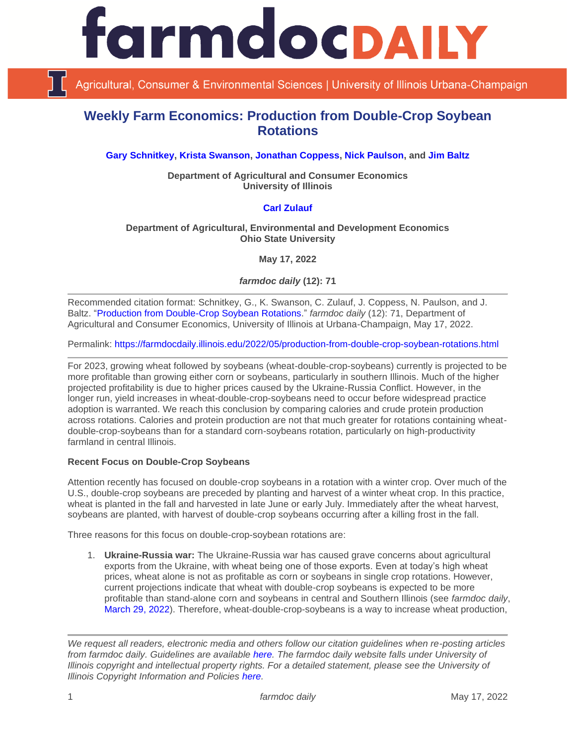

Agricultural, Consumer & Environmental Sciences | University of Illinois Urbana-Champaign

# **Weekly Farm Economics: Production from Double-Crop Soybean Rotations**

**[Gary Schnitkey,](https://ace.illinois.edu/directory/schnitke) [Krista Swanson,](https://ace.illinois.edu/directory/krista) [Jonathan Coppess,](https://ace.illinois.edu/directory/jwcoppes) [Nick Paulson,](https://ace.illinois.edu/directory/npaulson) and [Jim Baltz](https://ace.illinois.edu/directory/jhbaltz)**

**Department of Agricultural and Consumer Economics University of Illinois**

## **[Carl Zulauf](http://aede.osu.edu/our-people/carl-zulauf)**

#### **Department of Agricultural, Environmental and Development Economics Ohio State University**

**May 17, 2022**

*farmdoc daily* **(12): 71**

Recommended citation format: Schnitkey, G., K. Swanson, C. Zulauf, J. Coppess, N. Paulson, and J. Baltz. ["Production from Double-Crop Soybean Rotations.](https://farmdocdaily.illinois.edu/2022/05/production-from-double-crop-soybean-rotations.html)" *farmdoc daily* (12): 71, Department of Agricultural and Consumer Economics, University of Illinois at Urbana-Champaign, May 17, 2022.

Permalink:<https://farmdocdaily.illinois.edu/2022/05/production-from-double-crop-soybean-rotations.html>

For 2023, growing wheat followed by soybeans (wheat-double-crop-soybeans) currently is projected to be more profitable than growing either corn or soybeans, particularly in southern Illinois. Much of the higher projected profitability is due to higher prices caused by the Ukraine-Russia Conflict. However, in the longer run, yield increases in wheat-double-crop-soybeans need to occur before widespread practice adoption is warranted. We reach this conclusion by comparing calories and crude protein production across rotations. Calories and protein production are not that much greater for rotations containing wheatdouble-crop-soybeans than for a standard corn-soybeans rotation, particularly on high-productivity farmland in central Illinois.

#### **Recent Focus on Double-Crop Soybeans**

Attention recently has focused on double-crop soybeans in a rotation with a winter crop. Over much of the U.S., double-crop soybeans are preceded by planting and harvest of a winter wheat crop. In this practice, wheat is planted in the fall and harvested in late June or early July. Immediately after the wheat harvest, soybeans are planted, with harvest of double-crop soybeans occurring after a killing frost in the fall.

Three reasons for this focus on double-crop-soybean rotations are:

1. **Ukraine-Russia war:** The Ukraine-Russia war has caused grave concerns about agricultural exports from the Ukraine, with wheat being one of those exports. Even at today's high wheat prices, wheat alone is not as profitable as corn or soybeans in single crop rotations. However, current projections indicate that wheat with double-crop soybeans is expected to be more profitable than stand-alone corn and soybeans in central and Southern Illinois (see *farmdoc daily*, [March 29, 2022\)](https://farmdocdaily.illinois.edu/2022/03/wheat-in-2023.html). Therefore, wheat-double-crop-soybeans is a way to increase wheat production,

*We request all readers, electronic media and others follow our citation guidelines when re-posting articles from farmdoc daily. Guidelines are available [here.](http://farmdocdaily.illinois.edu/citationguide.html) The farmdoc daily website falls under University of Illinois copyright and intellectual property rights. For a detailed statement, please see the University of Illinois Copyright Information and Policies [here.](http://www.cio.illinois.edu/policies/copyright/)*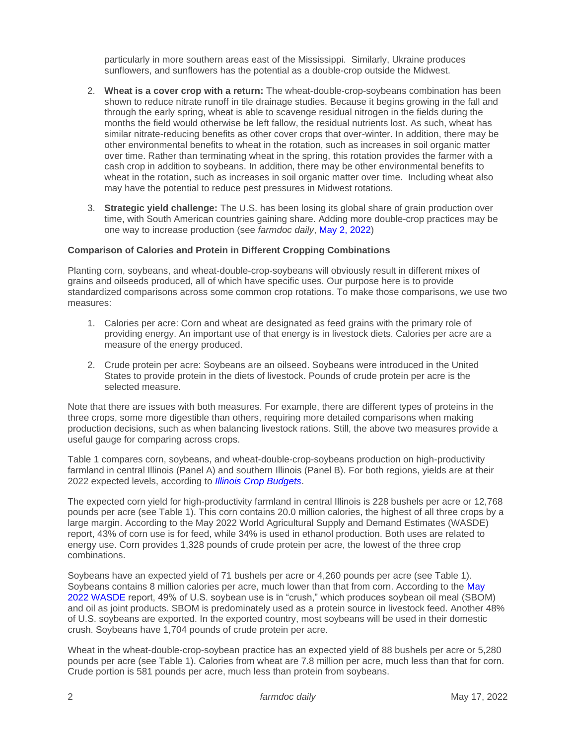particularly in more southern areas east of the Mississippi. Similarly, Ukraine produces sunflowers, and sunflowers has the potential as a double-crop outside the Midwest.

- 2. **Wheat is a cover crop with a return:** The wheat-double-crop-soybeans combination has been shown to reduce nitrate runoff in tile drainage studies. Because it begins growing in the fall and through the early spring, wheat is able to scavenge residual nitrogen in the fields during the months the field would otherwise be left fallow, the residual nutrients lost. As such, wheat has similar nitrate-reducing benefits as other cover crops that over-winter. In addition, there may be other environmental benefits to wheat in the rotation, such as increases in soil organic matter over time. Rather than terminating wheat in the spring, this rotation provides the farmer with a cash crop in addition to soybeans. In addition, there may be other environmental benefits to wheat in the rotation, such as increases in soil organic matter over time. Including wheat also may have the potential to reduce pest pressures in Midwest rotations.
- 3. **Strategic yield challenge:** The U.S. has been losing its global share of grain production over time, with South American countries gaining share. Adding more double-crop practices may be one way to increase production (see *farmdoc daily*, [May 2, 2022\)](https://farmdocdaily.illinois.edu/2022/05/us-agricultures-strategic-question.html)

#### **Comparison of Calories and Protein in Different Cropping Combinations**

Planting corn, soybeans, and wheat-double-crop-soybeans will obviously result in different mixes of grains and oilseeds produced, all of which have specific uses. Our purpose here is to provide standardized comparisons across some common crop rotations. To make those comparisons, we use two measures:

- 1. Calories per acre: Corn and wheat are designated as feed grains with the primary role of providing energy. An important use of that energy is in livestock diets. Calories per acre are a measure of the energy produced.
- 2. Crude protein per acre: Soybeans are an oilseed. Soybeans were introduced in the United States to provide protein in the diets of livestock. Pounds of crude protein per acre is the selected measure.

Note that there are issues with both measures. For example, there are different types of proteins in the three crops, some more digestible than others, requiring more detailed comparisons when making production decisions, such as when balancing livestock rations. Still, the above two measures provide a useful gauge for comparing across crops.

Table 1 compares corn, soybeans, and wheat-double-crop-soybeans production on high-productivity farmland in central Illinois (Panel A) and southern Illinois (Panel B). For both regions, yields are at their 2022 expected levels, according to *[Illinois Crop Budgets](https://farmdoc.illinois.edu/handbook/2022-budgets-for-all-regions)*.

The expected corn yield for high-productivity farmland in central Illinois is 228 bushels per acre or 12,768 pounds per acre (see Table 1). This corn contains 20.0 million calories, the highest of all three crops by a large margin. According to the May 2022 World Agricultural Supply and Demand Estimates (WASDE) report, 43% of corn use is for feed, while 34% is used in ethanol production. Both uses are related to energy use. Corn provides 1,328 pounds of crude protein per acre, the lowest of the three crop combinations.

Soybeans have an expected yield of 71 bushels per acre or 4,260 pounds per acre (see Table 1). Soybeans contains 8 million calories per acre, much lower than that from corn. According to the [May](https://usda.library.cornell.edu/concern/publications/3t945q76s?locale=en)  [2022 WASDE](https://usda.library.cornell.edu/concern/publications/3t945q76s?locale=en) report, 49% of U.S. soybean use is in "crush," which produces soybean oil meal (SBOM) and oil as joint products. SBOM is predominately used as a protein source in livestock feed. Another 48% of U.S. soybeans are exported. In the exported country, most soybeans will be used in their domestic crush. Soybeans have 1,704 pounds of crude protein per acre.

Wheat in the wheat-double-crop-soybean practice has an expected yield of 88 bushels per acre or 5,280 pounds per acre (see Table 1). Calories from wheat are 7.8 million per acre, much less than that for corn. Crude portion is 581 pounds per acre, much less than protein from soybeans.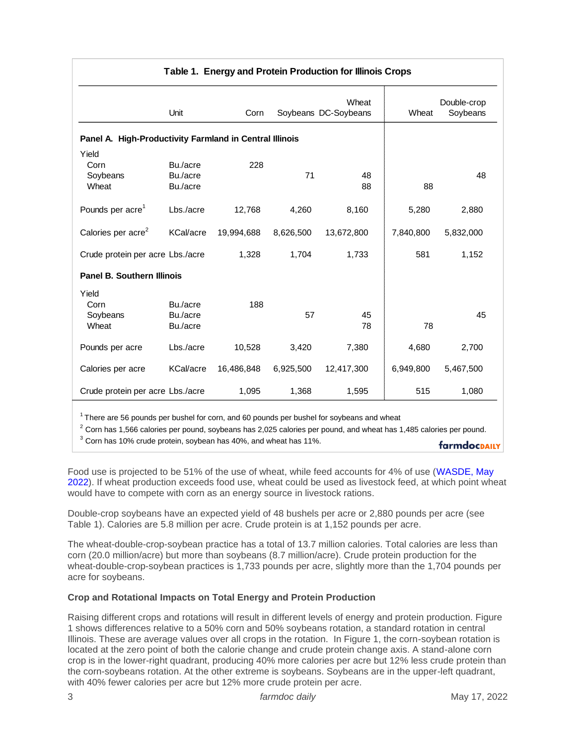| Table 1. Energy and Protein Production for Illinois Crops                                                                                                                                                                                                                                                                                                                                                                                                                                                                                                                                                                                                                                                                                       |                      |            |           |                               |           |                         |
|-------------------------------------------------------------------------------------------------------------------------------------------------------------------------------------------------------------------------------------------------------------------------------------------------------------------------------------------------------------------------------------------------------------------------------------------------------------------------------------------------------------------------------------------------------------------------------------------------------------------------------------------------------------------------------------------------------------------------------------------------|----------------------|------------|-----------|-------------------------------|-----------|-------------------------|
|                                                                                                                                                                                                                                                                                                                                                                                                                                                                                                                                                                                                                                                                                                                                                 | Unit                 | Corn       |           | Wheat<br>Soybeans DC-Soybeans | Wheat     | Double-crop<br>Soybeans |
| Panel A. High-Productivity Farmland in Central Illinois                                                                                                                                                                                                                                                                                                                                                                                                                                                                                                                                                                                                                                                                                         |                      |            |           |                               |           |                         |
| Yield                                                                                                                                                                                                                                                                                                                                                                                                                                                                                                                                                                                                                                                                                                                                           |                      |            |           |                               |           |                         |
| Corn                                                                                                                                                                                                                                                                                                                                                                                                                                                                                                                                                                                                                                                                                                                                            | Bu./acre             | 228        |           |                               |           |                         |
| Soybeans<br>Wheat                                                                                                                                                                                                                                                                                                                                                                                                                                                                                                                                                                                                                                                                                                                               | Bu./acre<br>Bu./acre |            | 71        | 48<br>88                      | 88        | 48                      |
| Pounds per acre <sup>1</sup>                                                                                                                                                                                                                                                                                                                                                                                                                                                                                                                                                                                                                                                                                                                    | Lbs./acre            | 12,768     | 4,260     | 8,160                         | 5,280     | 2,880                   |
| Calories per acre <sup>2</sup>                                                                                                                                                                                                                                                                                                                                                                                                                                                                                                                                                                                                                                                                                                                  | KCal/acre            | 19,994,688 | 8,626,500 | 13,672,800                    | 7,840,800 | 5,832,000               |
| Crude protein per acre Lbs./acre                                                                                                                                                                                                                                                                                                                                                                                                                                                                                                                                                                                                                                                                                                                |                      | 1,328      | 1,704     | 1,733                         | 581       | 1,152                   |
| <b>Panel B. Southern Illinois</b>                                                                                                                                                                                                                                                                                                                                                                                                                                                                                                                                                                                                                                                                                                               |                      |            |           |                               |           |                         |
| Yield                                                                                                                                                                                                                                                                                                                                                                                                                                                                                                                                                                                                                                                                                                                                           |                      |            |           |                               |           |                         |
| Corn                                                                                                                                                                                                                                                                                                                                                                                                                                                                                                                                                                                                                                                                                                                                            | Bu./acre             | 188        |           |                               |           |                         |
| Soybeans<br>Wheat                                                                                                                                                                                                                                                                                                                                                                                                                                                                                                                                                                                                                                                                                                                               | Bu./acre             |            | 57        | 45<br>78                      | 78        | 45                      |
|                                                                                                                                                                                                                                                                                                                                                                                                                                                                                                                                                                                                                                                                                                                                                 | Bu./acre             |            |           |                               |           |                         |
| Pounds per acre                                                                                                                                                                                                                                                                                                                                                                                                                                                                                                                                                                                                                                                                                                                                 | Lbs./acre            | 10,528     | 3,420     | 7,380                         | 4,680     | 2,700                   |
| Calories per acre                                                                                                                                                                                                                                                                                                                                                                                                                                                                                                                                                                                                                                                                                                                               | KCal/acre            | 16,486,848 | 6,925,500 | 12,417,300                    | 6,949,800 | 5,467,500               |
| Crude protein per acre Lbs./acre                                                                                                                                                                                                                                                                                                                                                                                                                                                                                                                                                                                                                                                                                                                |                      | 1,095      | 1,368     | 1,595                         | 515       | 1,080                   |
| <sup>1</sup> There are 56 pounds per bushel for corn, and 60 pounds per bushel for soybeans and wheat<br>$2$ Corn has 1,566 calories per pound, soybeans has 2,025 calories per pound, and wheat has 1,485 calories per pound.<br>$3$ Corn has 10% crude protein, soybean has 40%, and wheat has 11%.                                                                                                                                                                                                                                                                                                                                                                                                                                           |                      |            |           |                               |           | farmdocpally            |
| Food use is projected to be 51% of the use of wheat, while feed accounts for 4% of use (WASDE, May<br>2022). If wheat production exceeds food use, wheat could be used as livestock feed, at which point whea<br>would have to compete with corn as an energy source in livestock rations.                                                                                                                                                                                                                                                                                                                                                                                                                                                      |                      |            |           |                               |           |                         |
| Double-crop soybeans have an expected yield of 48 bushels per acre or 2,880 pounds per acre (see<br>Table 1). Calories are 5.8 million per acre. Crude protein is at 1,152 pounds per acre.                                                                                                                                                                                                                                                                                                                                                                                                                                                                                                                                                     |                      |            |           |                               |           |                         |
| The wheat-double-crop-soybean practice has a total of 13.7 million calories. Total calories are less than<br>corn (20.0 million/acre) but more than soybeans (8.7 million/acre). Crude protein production for the<br>wheat-double-crop-soybean practices is 1,733 pounds per acre, slightly more than the 1,704 pounds per<br>acre for soybeans.                                                                                                                                                                                                                                                                                                                                                                                                |                      |            |           |                               |           |                         |
| Crop and Rotational Impacts on Total Energy and Protein Production                                                                                                                                                                                                                                                                                                                                                                                                                                                                                                                                                                                                                                                                              |                      |            |           |                               |           |                         |
| Raising different crops and rotations will result in different levels of energy and protein production. Figure<br>1 shows differences relative to a 50% corn and 50% soybeans rotation, a standard rotation in central<br>Illinois. These are average values over all crops in the rotation. In Figure 1, the corn-soybean rotation is<br>located at the zero point of both the calorie change and crude protein change axis. A stand-alone corn<br>crop is in the lower-right quadrant, producing 40% more calories per acre but 12% less crude protein tha<br>the corn-soybeans rotation. At the other extreme is soybeans. Soybeans are in the upper-left quadrant,<br>with 40% fewer calories per acre but 12% more crude protein per acre. |                      |            |           |                               |           |                         |

## **Crop and Rotational Impacts on Total Energy and Protein Production**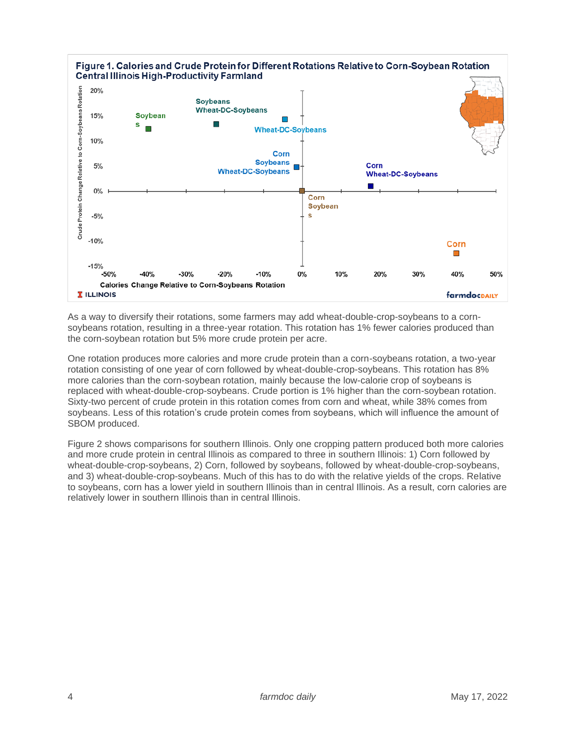

As a way to diversify their rotations, some farmers may add wheat-double-crop-soybeans to a cornsoybeans rotation, resulting in a three-year rotation. This rotation has 1% fewer calories produced than the corn-soybean rotation but 5% more crude protein per acre.

One rotation produces more calories and more crude protein than a corn-soybeans rotation, a two-year rotation consisting of one year of corn followed by wheat-double-crop-soybeans. This rotation has 8% more calories than the corn-soybean rotation, mainly because the low-calorie crop of soybeans is replaced with wheat-double-crop-soybeans. Crude portion is 1% higher than the corn-soybean rotation. Sixty-two percent of crude protein in this rotation comes from corn and wheat, while 38% comes from soybeans. Less of this rotation's crude protein comes from soybeans, which will influence the amount of SBOM produced.

Figure 2 shows comparisons for southern Illinois. Only one cropping pattern produced both more calories and more crude protein in central Illinois as compared to three in southern Illinois: 1) Corn followed by wheat-double-crop-soybeans, 2) Corn, followed by soybeans, followed by wheat-double-crop-soybeans, and 3) wheat-double-crop-soybeans. Much of this has to do with the relative yields of the crops. Relative to soybeans, corn has a lower yield in southern Illinois than in central Illinois. As a result, corn calories are relatively lower in southern Illinois than in central Illinois.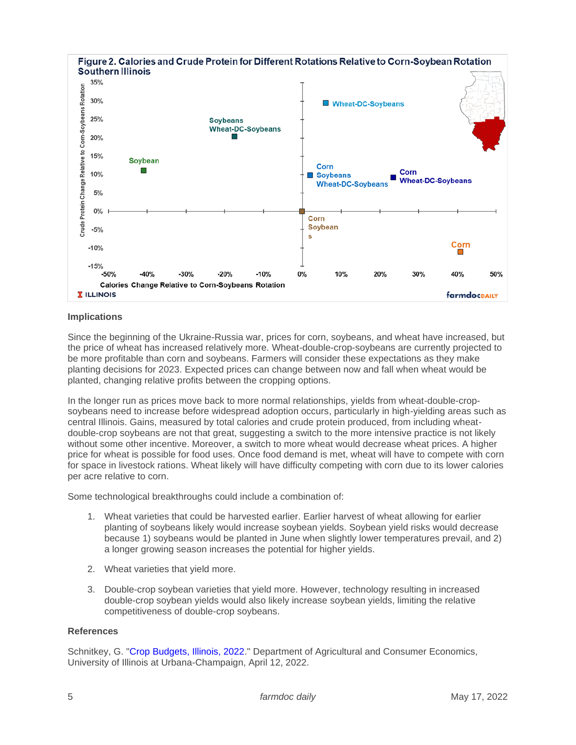

### **Implications**

Since the beginning of the Ukraine-Russia war, prices for corn, soybeans, and wheat have increased, but the price of wheat has increased relatively more. Wheat-double-crop-soybeans are currently projected to be more profitable than corn and soybeans. Farmers will consider these expectations as they make planting decisions for 2023. Expected prices can change between now and fall when wheat would be planted, changing relative profits between the cropping options.

In the longer run as prices move back to more normal relationships, yields from wheat-double-cropsoybeans need to increase before widespread adoption occurs, particularly in high-yielding areas such as central Illinois. Gains, measured by total calories and crude protein produced, from including wheatdouble-crop soybeans are not that great, suggesting a switch to the more intensive practice is not likely without some other incentive. Moreover, a switch to more wheat would decrease wheat prices. A higher price for wheat is possible for food uses. Once food demand is met, wheat will have to compete with corn for space in livestock rations. Wheat likely will have difficulty competing with corn due to its lower calories per acre relative to corn.

Some technological breakthroughs could include a combination of:

- 1. Wheat varieties that could be harvested earlier. Earlier harvest of wheat allowing for earlier planting of soybeans likely would increase soybean yields. Soybean yield risks would decrease because 1) soybeans would be planted in June when slightly lower temperatures prevail, and 2) a longer growing season increases the potential for higher yields.
- 2. Wheat varieties that yield more.
- 3. Double-crop soybean varieties that yield more. However, technology resulting in increased double-crop soybean yields would also likely increase soybean yields, limiting the relative competitiveness of double-crop soybeans.

#### **References**

Schnitkey, G. ["Crop Budgets, Illinois, 2022.](https://farmdoc.illinois.edu/handbook/2022-budgets-for-all-regions)" Department of Agricultural and Consumer Economics, University of Illinois at Urbana-Champaign, April 12, 2022.